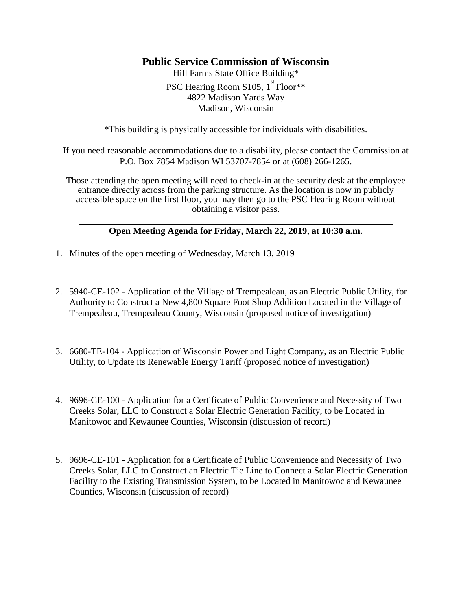## **Public Service Commission of Wisconsin**

Hill Farms State Office Building\* PSC Hearing Room S105, 1<sup>st</sup> Floor\*\* 4822 Madison Yards Way Madison, Wisconsin

\*This building is physically accessible for individuals with disabilities.

If you need reasonable accommodations due to a disability, please contact the Commission at P.O. Box 7854 Madison WI 53707-7854 or at (608) 266-1265.

Those attending the open meeting will need to check-in at the security desk at the employee entrance directly across from the parking structure. As the location is now in publicly accessible space on the first floor, you may then go to the PSC Hearing Room without obtaining a visitor pass.

## **Open Meeting Agenda for Friday, March 22, 2019, at 10:30 a.m.**

- 1. Minutes of the open meeting of Wednesday, March 13, 2019
- 2. 5940-CE-102 Application of the Village of Trempealeau, as an Electric Public Utility, for Authority to Construct a New 4,800 Square Foot Shop Addition Located in the Village of Trempealeau, Trempealeau County, Wisconsin (proposed notice of investigation)
- 3. 6680-TE-104 Application of Wisconsin Power and Light Company, as an Electric Public Utility, to Update its Renewable Energy Tariff (proposed notice of investigation)
- 4. 9696-CE-100 Application for a Certificate of Public Convenience and Necessity of Two Creeks Solar, LLC to Construct a Solar Electric Generation Facility, to be Located in Manitowoc and Kewaunee Counties, Wisconsin (discussion of record)
- 5. 9696-CE-101 Application for a Certificate of Public Convenience and Necessity of Two Creeks Solar, LLC to Construct an Electric Tie Line to Connect a Solar Electric Generation Facility to the Existing Transmission System, to be Located in Manitowoc and Kewaunee Counties, Wisconsin (discussion of record)